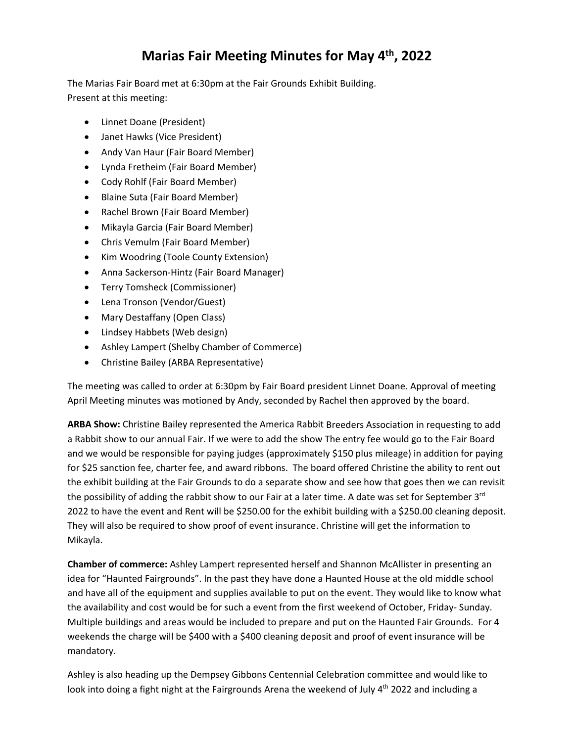## **Marias Fair Meeting Minutes for May 4th , 2022**

The Marias Fair Board met at 6:30pm at the Fair Grounds Exhibit Building. Present at this meeting:

- Linnet Doane (President)
- Janet Hawks (Vice President)
- Andy Van Haur (Fair Board Member)
- Lynda Fretheim (Fair Board Member)
- Cody Rohlf (Fair Board Member)
- Blaine Suta (Fair Board Member)
- Rachel Brown (Fair Board Member)
- Mikayla Garcia (Fair Board Member)
- Chris Vemulm (Fair Board Member)
- Kim Woodring (Toole County Extension)
- Anna Sackerson-Hintz (Fair Board Manager)
- Terry Tomsheck (Commissioner)
- Lena Tronson (Vendor/Guest)
- Mary Destaffany (Open Class)
- Lindsey Habbets (Web design)
- Ashley Lampert (Shelby Chamber of Commerce)
- Christine Bailey (ARBA Representative)

The meeting was called to order at 6:30pm by Fair Board president Linnet Doane. Approval of meeting April Meeting minutes was motioned by Andy, seconded by Rachel then approved by the board.

**ARBA Show:** Christine Bailey represented the America Rabbit Breeders Association in requesting to add a Rabbit show to our annual Fair. If we were to add the show The entry fee would go to the Fair Board and we would be responsible for paying judges (approximately \$150 plus mileage) in addition for paying for \$25 sanction fee, charter fee, and award ribbons. The board offered Christine the ability to rent out the exhibit building at the Fair Grounds to do a separate show and see how that goes then we can revisit the possibility of adding the rabbit show to our Fair at a later time. A date was set for September  $3^{rd}$ 2022 to have the event and Rent will be \$250.00 for the exhibit building with a \$250.00 cleaning deposit. They will also be required to show proof of event insurance. Christine will get the information to Mikayla.

**Chamber of commerce:** Ashley Lampert represented herself and Shannon McAllister in presenting an idea for "Haunted Fairgrounds". In the past they have done a Haunted House at the old middle school and have all of the equipment and supplies available to put on the event. They would like to know what the availability and cost would be for such a event from the first weekend of October, Friday‐ Sunday. Multiple buildings and areas would be included to prepare and put on the Haunted Fair Grounds. For 4 weekends the charge will be \$400 with a \$400 cleaning deposit and proof of event insurance will be mandatory.

Ashley is also heading up the Dempsey Gibbons Centennial Celebration committee and would like to look into doing a fight night at the Fairgrounds Arena the weekend of July 4<sup>th</sup> 2022 and including a